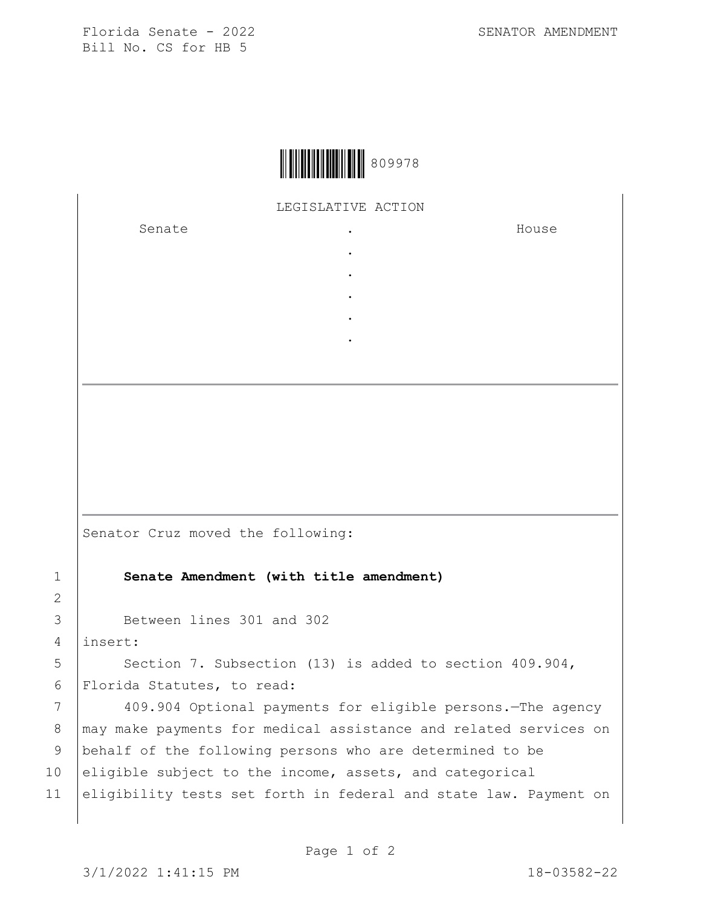Florida Senate - 2022 SENATOR AMENDMENT Bill No. CS for HB 5



## LEGISLATIVE ACTION

. . . . .

Senate the senate of the senate of the senate of  $\cdot$ 

House

Senator Cruz moved the following:

## 1 **Senate Amendment (with title amendment)**

3 Between lines 301 and 302

4 insert:

2

5 Section 7. Subsection (13) is added to section 409.904, 6 Florida Statutes, to read:

7 409.904 Optional payments for eligible persons.—The agency 8 | may make payments for medical assistance and related services on 9 behalf of the following persons who are determined to be 10 eligible subject to the income, assets, and categorical 11 eligibility tests set forth in federal and state law. Payment on